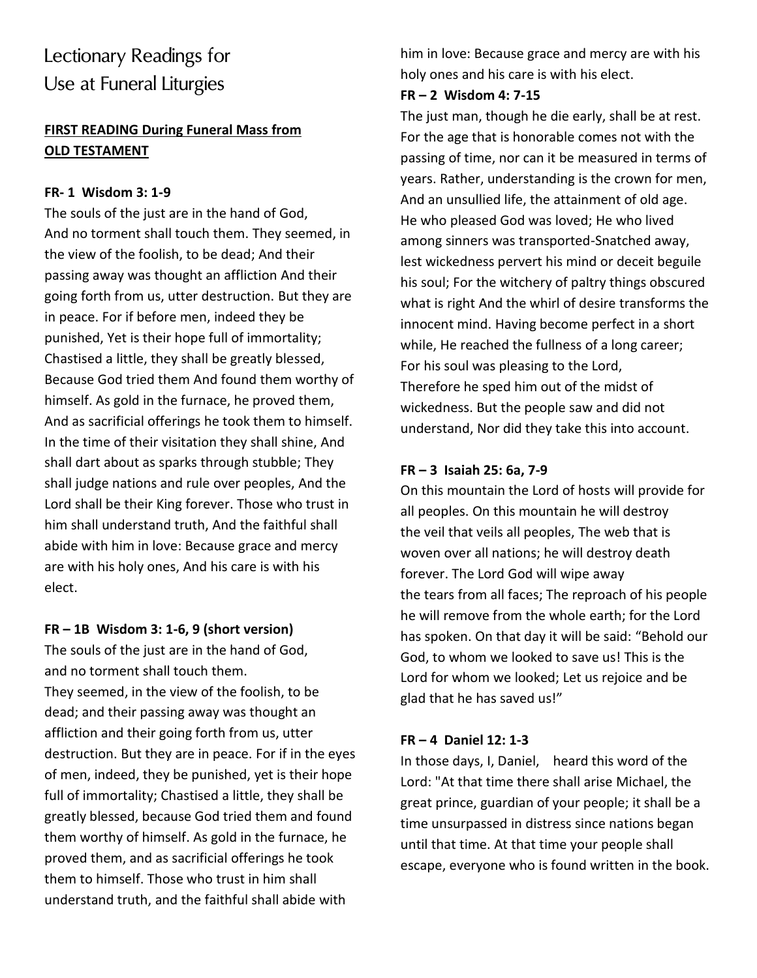# Lectionary Readings for Use at Funeral Liturgies

# **FIRST READING During Funeral Mass from OLD TESTAMENT**

## **FR- 1 Wisdom 3: 1-9**

The souls of the just are in the hand of God, And no torment shall touch them. They seemed, in the view of the foolish, to be dead; And their passing away was thought an affliction And their going forth from us, utter destruction. But they are in peace. For if before men, indeed they be punished, Yet is their hope full of immortality; Chastised a little, they shall be greatly blessed, Because God tried them And found them worthy of himself. As gold in the furnace, he proved them, And as sacrificial offerings he took them to himself. In the time of their visitation they shall shine, And shall dart about as sparks through stubble; They shall judge nations and rule over peoples, And the Lord shall be their King forever. Those who trust in him shall understand truth, And the faithful shall abide with him in love: Because grace and mercy are with his holy ones, And his care is with his elect.

## **FR – 1B Wisdom 3: 1-6, 9 (short version)**

The souls of the just are in the hand of God, and no torment shall touch them.

They seemed, in the view of the foolish, to be dead; and their passing away was thought an affliction and their going forth from us, utter destruction. But they are in peace. For if in the eyes of men, indeed, they be punished, yet is their hope full of immortality; Chastised a little, they shall be greatly blessed, because God tried them and found them worthy of himself. As gold in the furnace, he proved them, and as sacrificial offerings he took them to himself. Those who trust in him shall understand truth, and the faithful shall abide with

him in love: Because grace and mercy are with his holy ones and his care is with his elect.

#### **FR – 2 Wisdom 4: 7-15**

The just man, though he die early, shall be at rest. For the age that is honorable comes not with the passing of time, nor can it be measured in terms of years. Rather, understanding is the crown for men, And an unsullied life, the attainment of old age. He who pleased God was loved; He who lived among sinners was transported-Snatched away, lest wickedness pervert his mind or deceit beguile his soul; For the witchery of paltry things obscured what is right And the whirl of desire transforms the innocent mind. Having become perfect in a short while, He reached the fullness of a long career; For his soul was pleasing to the Lord, Therefore he sped him out of the midst of wickedness. But the people saw and did not understand, Nor did they take this into account.

#### **FR – 3 Isaiah 25: 6a, 7-9**

On this mountain the Lord of hosts will provide for all peoples. On this mountain he will destroy the veil that veils all peoples, The web that is woven over all nations; he will destroy death forever. The Lord God will wipe away the tears from all faces; The reproach of his people he will remove from the whole earth; for the Lord has spoken. On that day it will be said: "Behold our God, to whom we looked to save us! This is the Lord for whom we looked; Let us rejoice and be glad that he has saved us!"

## **FR – 4 Daniel 12: 1-3**

In those days, I, Daniel, heard this word of the Lord: "At that time there shall arise Michael, the great prince, guardian of your people; it shall be a time unsurpassed in distress since nations began until that time. At that time your people shall escape, everyone who is found written in the book.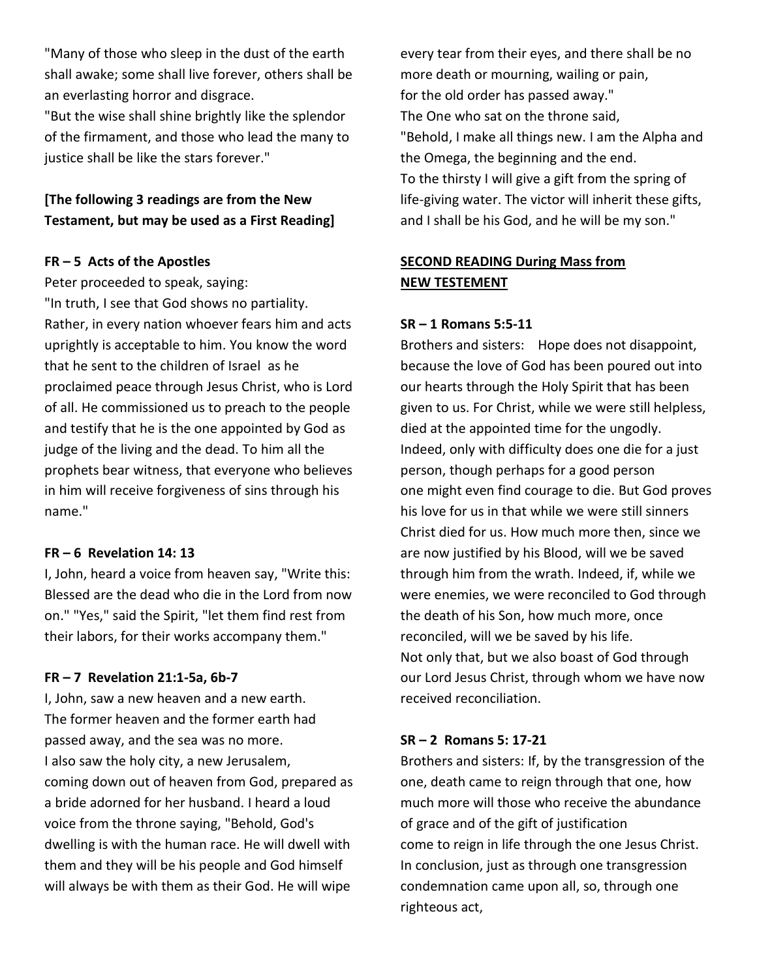"Many of those who sleep in the dust of the earth shall awake; some shall live forever, others shall be an everlasting horror and disgrace.

"But the wise shall shine brightly like the splendor of the firmament, and those who lead the many to justice shall be like the stars forever."

# **[The following 3 readings are from the New Testament, but may be used as a First Reading]**

#### **FR – 5 Acts of the Apostles**

Peter proceeded to speak, saying: "In truth, I see that God shows no partiality. Rather, in every nation whoever fears him and acts uprightly is acceptable to him. You know the word that he sent to the children of Israel as he proclaimed peace through Jesus Christ, who is Lord of all. He commissioned us to preach to the people and testify that he is the one appointed by God as judge of the living and the dead. To him all the prophets bear witness, that everyone who believes in him will receive forgiveness of sins through his name."

## **FR – 6 Revelation 14: 13**

I, John, heard a voice from heaven say, "Write this: Blessed are the dead who die in the Lord from now on." "Yes," said the Spirit, "let them find rest from their labors, for their works accompany them."

## **FR – 7 Revelation 21:1-5a, 6b-7**

I, John, saw a new heaven and a new earth. The former heaven and the former earth had passed away, and the sea was no more. I also saw the holy city, a new Jerusalem, coming down out of heaven from God, prepared as a bride adorned for her husband. I heard a loud voice from the throne saying, "Behold, God's dwelling is with the human race. He will dwell with them and they will be his people and God himself will always be with them as their God. He will wipe

every tear from their eyes, and there shall be no more death or mourning, wailing or pain, for the old order has passed away." The One who sat on the throne said, "Behold, I make all things new. I am the Alpha and the Omega, the beginning and the end. To the thirsty I will give a gift from the spring of life-giving water. The victor will inherit these gifts, and I shall be his God, and he will be my son."

# **SECOND READING During Mass from NEW TESTEMENT**

#### **SR – 1 Romans 5:5-11**

Brothers and sisters: Hope does not disappoint, because the love of God has been poured out into our hearts through the Holy Spirit that has been given to us. For Christ, while we were still helpless, died at the appointed time for the ungodly. Indeed, only with difficulty does one die for a just person, though perhaps for a good person one might even find courage to die. But God proves his love for us in that while we were still sinners Christ died for us. How much more then, since we are now justified by his Blood, will we be saved through him from the wrath. Indeed, if, while we were enemies, we were reconciled to God through the death of his Son, how much more, once reconciled, will we be saved by his life. Not only that, but we also boast of God through our Lord Jesus Christ, through whom we have now received reconciliation.

## **SR – 2 Romans 5: 17-21**

Brothers and sisters: If, by the transgression of the one, death came to reign through that one, how much more will those who receive the abundance of grace and of the gift of justification come to reign in life through the one Jesus Christ. In conclusion, just as through one transgression condemnation came upon all, so, through one righteous act,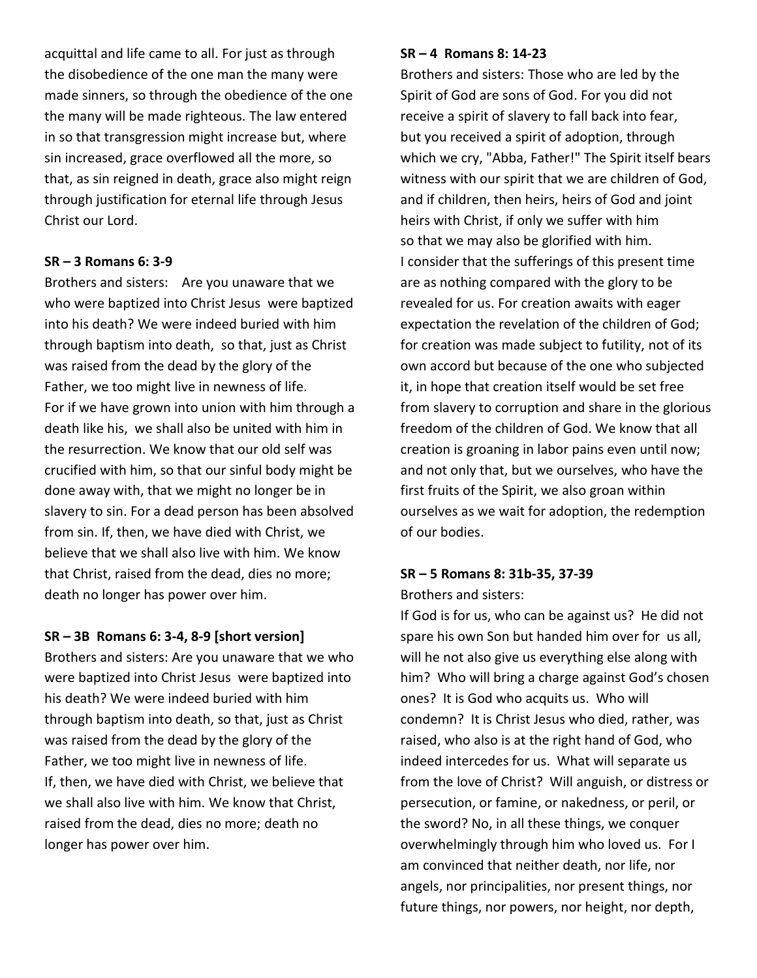acquittal and life came to all. For just as through the disobedience of the one man the many were made sinners, so through the obedience of the one the many will be made righteous. The law entered in so that transgression might increase but, where sin increased, grace overflowed all the more, so that, as sin reigned in death, grace also might reign through justification for eternal life through Jesus Christ our Lord.

#### **SR – 3 Romans 6: 3-9**

Brothers and sisters: Are you unaware that we who were baptized into Christ Jesus were baptized into his death? We were indeed buried with him through baptism into death, so that, just as Christ was raised from the dead by the glory of the Father, we too might live in newness of life. For if we have grown into union with him through a death like his, we shall also be united with him in the resurrection. We know that our old self was crucified with him, so that our sinful body might be done away with, that we might no longer be in slavery to sin. For a dead person has been absolved from sin. If, then, we have died with Christ, we believe that we shall also live with him. We know that Christ, raised from the dead, dies no more; death no longer has power over him.

#### **SR – 3B Romans 6: 3-4, 8-9 [short version]**

Brothers and sisters: Are you unaware that we who were baptized into Christ Jesus were baptized into his death? We were indeed buried with him through baptism into death, so that, just as Christ was raised from the dead by the glory of the Father, we too might live in newness of life. If, then, we have died with Christ, we believe that we shall also live with him. We know that Christ, raised from the dead, dies no more; death no longer has power over him.

#### **SR – 4 Romans 8: 14-23**

Brothers and sisters: Those who are led by the Spirit of God are sons of God. For you did not receive a spirit of slavery to fall back into fear, but you received a spirit of adoption, through which we cry, "Abba, Father!" The Spirit itself bears witness with our spirit that we are children of God, and if children, then heirs, heirs of God and joint heirs with Christ, if only we suffer with him so that we may also be glorified with him. I consider that the sufferings of this present time are as nothing compared with the glory to be revealed for us. For creation awaits with eager expectation the revelation of the children of God; for creation was made subject to futility, not of its own accord but because of the one who subjected it, in hope that creation itself would be set free from slavery to corruption and share in the glorious freedom of the children of God. We know that all creation is groaning in labor pains even until now; and not only that, but we ourselves, who have the first fruits of the Spirit, we also groan within ourselves as we wait for adoption, the redemption of our bodies.

#### **SR – 5 Romans 8: 31b-35, 37-39** Brothers and sisters:

If God is for us, who can be against us? He did not spare his own Son but handed him over for us all, will he not also give us everything else along with him? Who will bring a charge against God's chosen ones? It is God who acquits us. Who will condemn? It is Christ Jesus who died, rather, was raised, who also is at the right hand of God, who indeed intercedes for us. What will separate us from the love of Christ? Will anguish, or distress or persecution, or famine, or nakedness, or peril, or the sword? No, in all these things, we conquer overwhelmingly through him who loved us. For I am convinced that neither death, nor life, nor angels, nor principalities, nor present things, nor future things, nor powers, nor height, nor depth,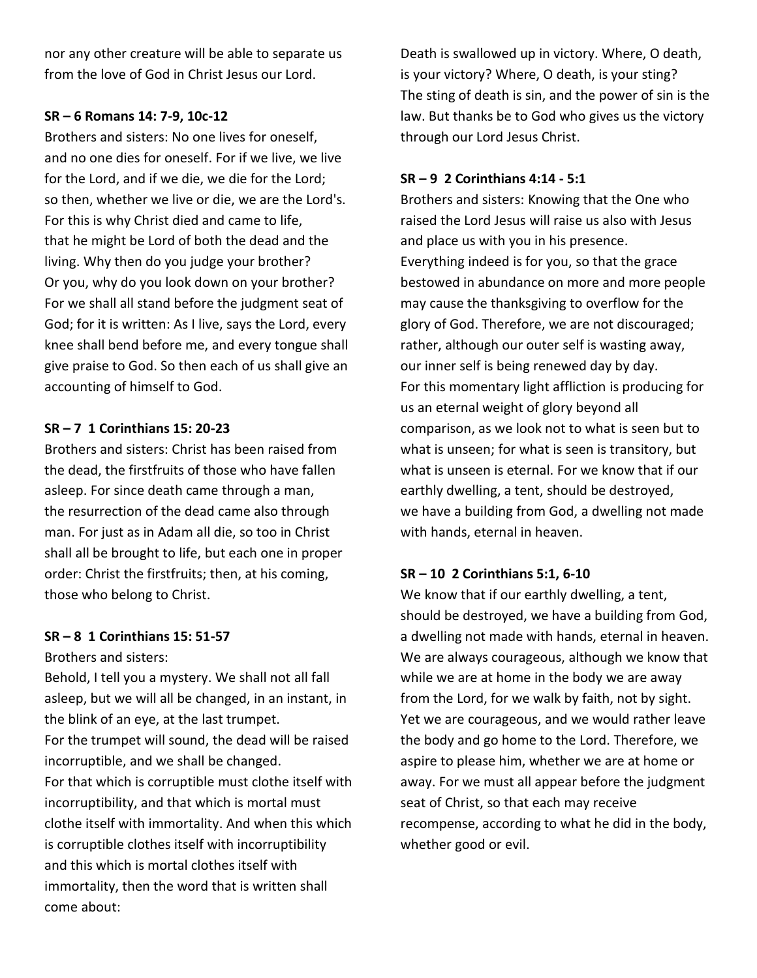nor any other creature will be able to separate us from the love of God in Christ Jesus our Lord.

#### **SR – 6 Romans 14: 7-9, 10c-12**

Brothers and sisters: No one lives for oneself, and no one dies for oneself. For if we live, we live for the Lord, and if we die, we die for the Lord; so then, whether we live or die, we are the Lord's. For this is why Christ died and came to life, that he might be Lord of both the dead and the living. Why then do you judge your brother? Or you, why do you look down on your brother? For we shall all stand before the judgment seat of God; for it is written: As I live, says the Lord, every knee shall bend before me, and every tongue shall give praise to God. So then each of us shall give an accounting of himself to God.

#### **SR – 7 1 Corinthians 15: 20-23**

Brothers and sisters: Christ has been raised from the dead, the firstfruits of those who have fallen asleep. For since death came through a man, the resurrection of the dead came also through man. For just as in Adam all die, so too in Christ shall all be brought to life, but each one in proper order: Christ the firstfruits; then, at his coming, those who belong to Christ.

#### **SR – 8 1 Corinthians 15: 51-57**

Brothers and sisters:

Behold, I tell you a mystery. We shall not all fall asleep, but we will all be changed, in an instant, in the blink of an eye, at the last trumpet. For the trumpet will sound, the dead will be raised incorruptible, and we shall be changed. For that which is corruptible must clothe itself with incorruptibility, and that which is mortal must clothe itself with immortality. And when this which is corruptible clothes itself with incorruptibility and this which is mortal clothes itself with immortality, then the word that is written shall come about:

Death is swallowed up in victory. Where, O death, is your victory? Where, O death, is your sting? The sting of death is sin, and the power of sin is the law. But thanks be to God who gives us the victory through our Lord Jesus Christ.

#### **SR – 9 2 Corinthians 4:14 - 5:1**

Brothers and sisters: Knowing that the One who raised the Lord Jesus will raise us also with Jesus and place us with you in his presence. Everything indeed is for you, so that the grace bestowed in abundance on more and more people may cause the thanksgiving to overflow for the glory of God. Therefore, we are not discouraged; rather, although our outer self is wasting away, our inner self is being renewed day by day. For this momentary light affliction is producing for us an eternal weight of glory beyond all comparison, as we look not to what is seen but to what is unseen; for what is seen is transitory, but what is unseen is eternal. For we know that if our earthly dwelling, a tent, should be destroyed, we have a building from God, a dwelling not made with hands, eternal in heaven.

## **SR – 10 2 Corinthians 5:1, 6-10**

We know that if our earthly dwelling, a tent, should be destroyed, we have a building from God, a dwelling not made with hands, eternal in heaven. We are always courageous, although we know that while we are at home in the body we are away from the Lord, for we walk by faith, not by sight. Yet we are courageous, and we would rather leave the body and go home to the Lord. Therefore, we aspire to please him, whether we are at home or away. For we must all appear before the judgment seat of Christ, so that each may receive recompense, according to what he did in the body, whether good or evil.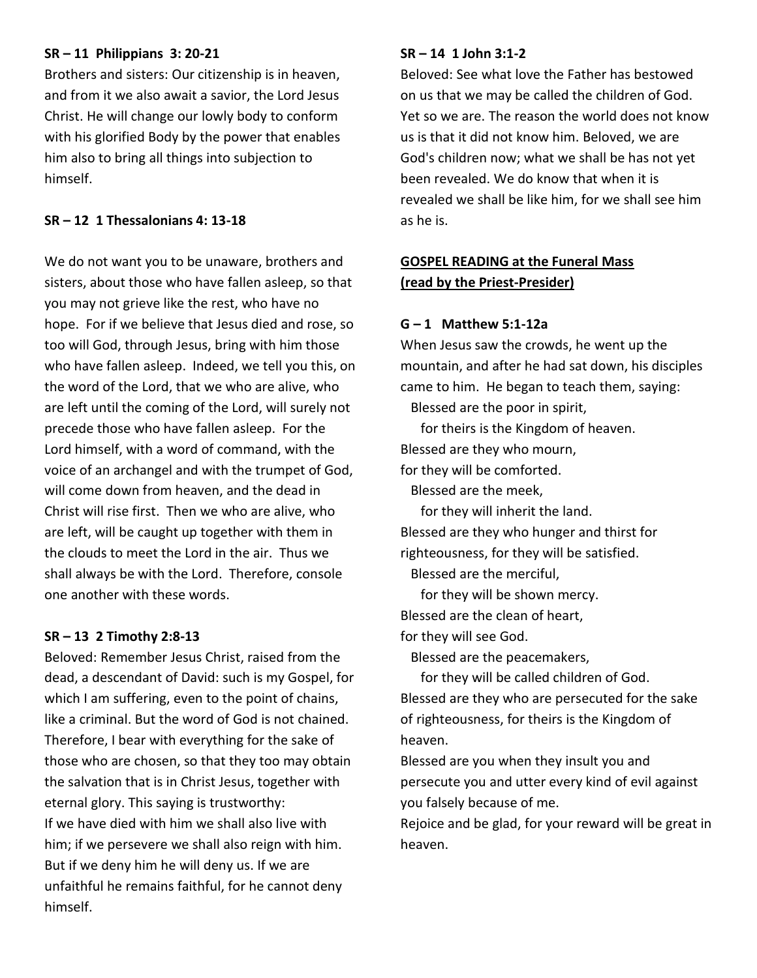#### **SR – 11 Philippians 3: 20-21**

Brothers and sisters: Our citizenship is in heaven, and from it we also await a savior, the Lord Jesus Christ. He will change our lowly body to conform with his glorified Body by the power that enables him also to bring all things into subjection to himself.

#### **SR – 12 1 Thessalonians 4: 13-18**

We do not want you to be unaware, brothers and sisters, about those who have fallen asleep, so that you may not grieve like the rest, who have no hope. For if we believe that Jesus died and rose, so too will God, through Jesus, bring with him those who have fallen asleep. Indeed, we tell you this, on the word of the Lord, that we who are alive, who are left until the coming of the Lord, will surely not precede those who have fallen asleep. For the Lord himself, with a word of command, with the voice of an archangel and with the trumpet of God, will come down from heaven, and the dead in Christ will rise first. Then we who are alive, who are left, will be caught up together with them in the clouds to meet the Lord in the air. Thus we shall always be with the Lord. Therefore, console one another with these words.

#### **SR – 13 2 Timothy 2:8-13**

Beloved: Remember Jesus Christ, raised from the dead, a descendant of David: such is my Gospel, for which I am suffering, even to the point of chains, like a criminal. But the word of God is not chained. Therefore, I bear with everything for the sake of those who are chosen, so that they too may obtain the salvation that is in Christ Jesus, together with eternal glory. This saying is trustworthy: If we have died with him we shall also live with him; if we persevere we shall also reign with him. But if we deny him he will deny us. If we are unfaithful he remains faithful, for he cannot deny himself.

#### **SR – 14 1 John 3:1-2**

Beloved: See what love the Father has bestowed on us that we may be called the children of God. Yet so we are. The reason the world does not know us is that it did not know him. Beloved, we are God's children now; what we shall be has not yet been revealed. We do know that when it is revealed we shall be like him, for we shall see him as he is.

# **GOSPEL READING at the Funeral Mass (read by the Priest-Presider)**

#### **G – 1 Matthew 5:1-12a**

When Jesus saw the crowds, he went up the mountain, and after he had sat down, his disciples came to him. He began to teach them, saying:

Blessed are the poor in spirit,

 for theirs is the Kingdom of heaven. Blessed are they who mourn, for they will be comforted.

Blessed are the meek,

for they will inherit the land.

Blessed are they who hunger and thirst for righteousness, for they will be satisfied.

Blessed are the merciful,

 for they will be shown mercy. Blessed are the clean of heart, for they will see God.

Blessed are the peacemakers,

 for they will be called children of God. Blessed are they who are persecuted for the sake of righteousness, for theirs is the Kingdom of heaven.

Blessed are you when they insult you and persecute you and utter every kind of evil against you falsely because of me.

Rejoice and be glad, for your reward will be great in heaven.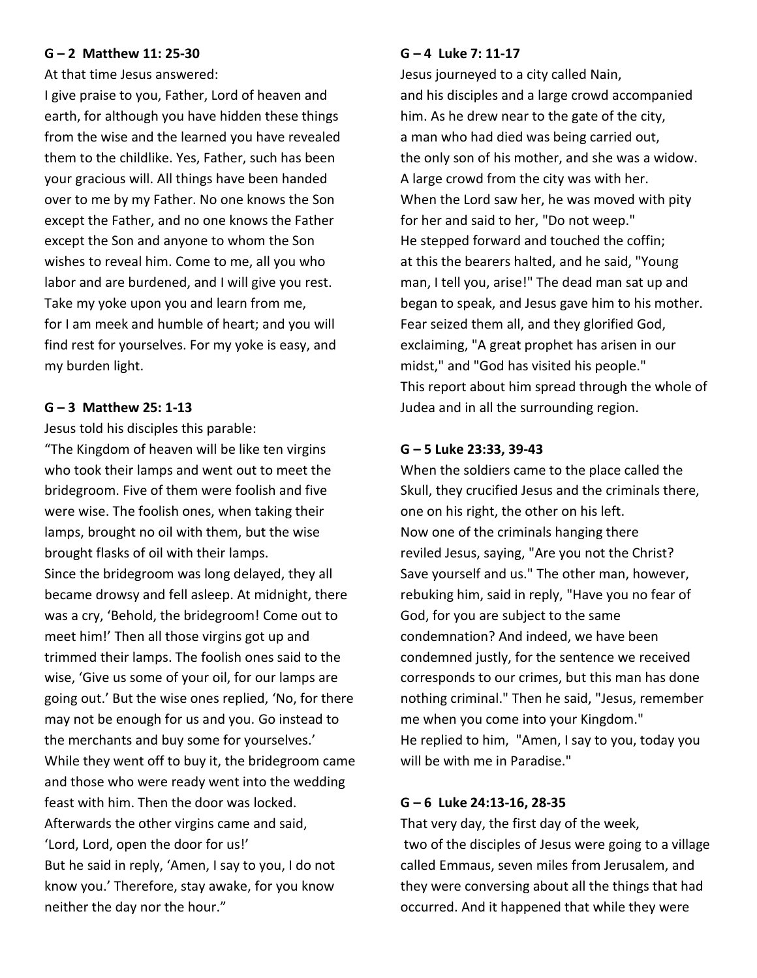#### **G – 2 Matthew 11: 25-30**

At that time Jesus answered:

I give praise to you, Father, Lord of heaven and earth, for although you have hidden these things from the wise and the learned you have revealed them to the childlike. Yes, Father, such has been your gracious will. All things have been handed over to me by my Father. No one knows the Son except the Father, and no one knows the Father except the Son and anyone to whom the Son wishes to reveal him. Come to me, all you who labor and are burdened, and I will give you rest. Take my yoke upon you and learn from me, for I am meek and humble of heart; and you will find rest for yourselves. For my yoke is easy, and my burden light.

#### **G – 3 Matthew 25: 1-13**

Jesus told his disciples this parable:

"The Kingdom of heaven will be like ten virgins who took their lamps and went out to meet the bridegroom. Five of them were foolish and five were wise. The foolish ones, when taking their lamps, brought no oil with them, but the wise brought flasks of oil with their lamps. Since the bridegroom was long delayed, they all became drowsy and fell asleep. At midnight, there was a cry, 'Behold, the bridegroom! Come out to meet him!' Then all those virgins got up and trimmed their lamps. The foolish ones said to the wise, 'Give us some of your oil, for our lamps are going out.' But the wise ones replied, 'No, for there may not be enough for us and you. Go instead to the merchants and buy some for yourselves.' While they went off to buy it, the bridegroom came and those who were ready went into the wedding feast with him. Then the door was locked. Afterwards the other virgins came and said, 'Lord, Lord, open the door for us!' But he said in reply, 'Amen, I say to you, I do not know you.' Therefore, stay awake, for you know neither the day nor the hour."

#### **G – 4 Luke 7: 11-17**

Jesus journeyed to a city called Nain, and his disciples and a large crowd accompanied him. As he drew near to the gate of the city, a man who had died was being carried out, the only son of his mother, and she was a widow. A large crowd from the city was with her. When the Lord saw her, he was moved with pity for her and said to her, "Do not weep." He stepped forward and touched the coffin; at this the bearers halted, and he said, "Young man, I tell you, arise!" The dead man sat up and began to speak, and Jesus gave him to his mother. Fear seized them all, and they glorified God, exclaiming, "A great prophet has arisen in our midst," and "God has visited his people." This report about him spread through the whole of Judea and in all the surrounding region.

## **G – 5 Luke 23:33, 39-43**

When the soldiers came to the place called the Skull, they crucified Jesus and the criminals there, one on his right, the other on his left. Now one of the criminals hanging there reviled Jesus, saying, "Are you not the Christ? Save yourself and us." The other man, however, rebuking him, said in reply, "Have you no fear of God, for you are subject to the same condemnation? And indeed, we have been condemned justly, for the sentence we received corresponds to our crimes, but this man has done nothing criminal." Then he said, "Jesus, remember me when you come into your Kingdom." He replied to him, "Amen, I say to you, today you will be with me in Paradise."

## **G – 6 Luke 24:13-16, 28-35**

That very day, the first day of the week, two of the disciples of Jesus were going to a village called Emmaus, seven miles from Jerusalem, and they were conversing about all the things that had occurred. And it happened that while they were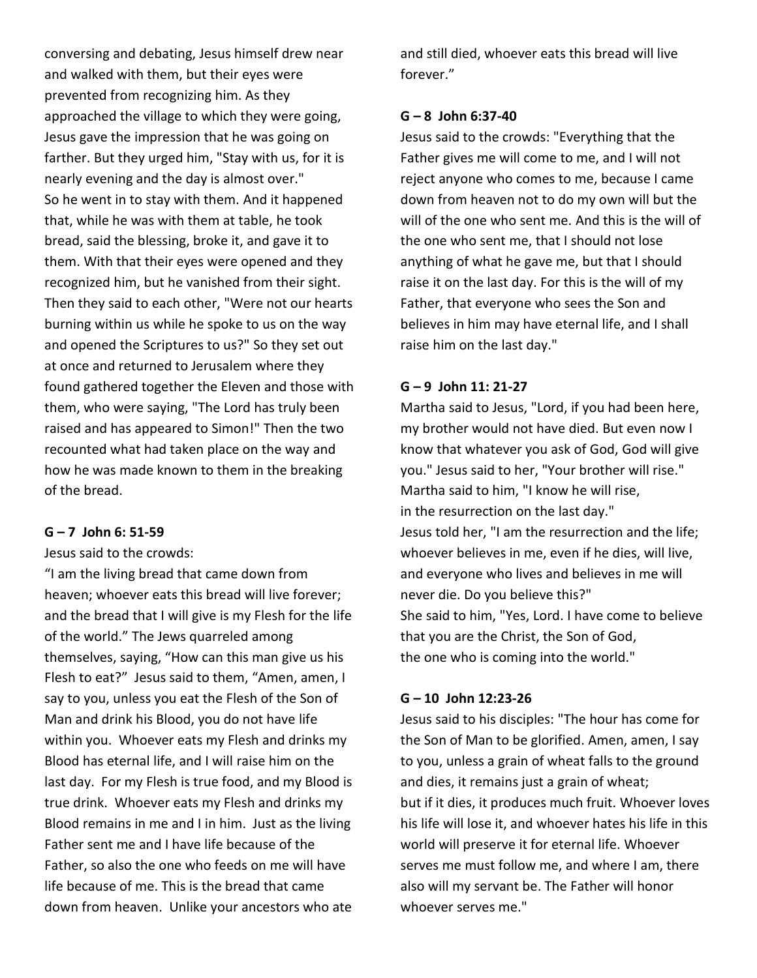conversing and debating, Jesus himself drew near and walked with them, but their eyes were prevented from recognizing him. As they approached the village to which they were going, Jesus gave the impression that he was going on farther. But they urged him, "Stay with us, for it is nearly evening and the day is almost over." So he went in to stay with them. And it happened that, while he was with them at table, he took bread, said the blessing, broke it, and gave it to them. With that their eyes were opened and they recognized him, but he vanished from their sight. Then they said to each other, "Were not our hearts burning within us while he spoke to us on the way and opened the Scriptures to us?" So they set out at once and returned to Jerusalem where they found gathered together the Eleven and those with them, who were saying, "The Lord has truly been raised and has appeared to Simon!" Then the two recounted what had taken place on the way and how he was made known to them in the breaking of the bread.

#### **G – 7 John 6: 51-59**

Jesus said to the crowds:

"I am the living bread that came down from heaven; whoever eats this bread will live forever; and the bread that I will give is my Flesh for the life of the world." The Jews quarreled among themselves, saying, "How can this man give us his Flesh to eat?" Jesus said to them, "Amen, amen, I say to you, unless you eat the Flesh of the Son of Man and drink his Blood, you do not have life within you. Whoever eats my Flesh and drinks my Blood has eternal life, and I will raise him on the last day. For my Flesh is true food, and my Blood is true drink. Whoever eats my Flesh and drinks my Blood remains in me and I in him. Just as the living Father sent me and I have life because of the Father, so also the one who feeds on me will have life because of me. This is the bread that came down from heaven. Unlike your ancestors who ate

and still died, whoever eats this bread will live forever."

#### **G – 8 John 6:37-40**

Jesus said to the crowds: "Everything that the Father gives me will come to me, and I will not reject anyone who comes to me, because I came down from heaven not to do my own will but the will of the one who sent me. And this is the will of the one who sent me, that I should not lose anything of what he gave me, but that I should raise it on the last day. For this is the will of my Father, that everyone who sees the Son and believes in him may have eternal life, and I shall raise him on the last day."

#### **G – 9 John 11: 21-27**

Martha said to Jesus, "Lord, if you had been here, my brother would not have died. But even now I know that whatever you ask of God, God will give you." Jesus said to her, "Your brother will rise." Martha said to him, "I know he will rise, in the resurrection on the last day." Jesus told her, "I am the resurrection and the life; whoever believes in me, even if he dies, will live, and everyone who lives and believes in me will never die. Do you believe this?" She said to him, "Yes, Lord. I have come to believe that you are the Christ, the Son of God, the one who is coming into the world."

#### **G – 10 John 12:23-26**

Jesus said to his disciples: "The hour has come for the Son of Man to be glorified. Amen, amen, I say to you, unless a grain of wheat falls to the ground and dies, it remains just a grain of wheat; but if it dies, it produces much fruit. Whoever loves his life will lose it, and whoever hates his life in this world will preserve it for eternal life. Whoever serves me must follow me, and where I am, there also will my servant be. The Father will honor whoever serves me."